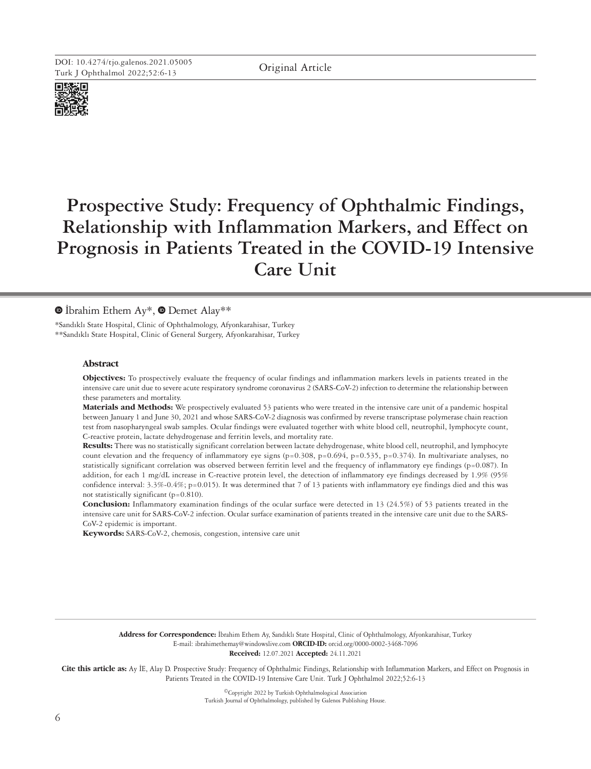

# **Prospective Study: Frequency of Ophthalmic Findings, Relationship with Inflammation Markers, and Effect on Prognosis in Patients Treated in the COVID-19 Intensive Care Unit**

# $\bullet$ İbrahim Ethem Ay\*,  $\bullet$  Demet Alay\*\*

\*Sandıklı State Hospital, Clinic of Ophthalmology, Afyonkarahisar, Turkey \*\*Sandıklı State Hospital, Clinic of General Surgery, Afyonkarahisar, Turkey

## **Abstract**

**Objectives:** To prospectively evaluate the frequency of ocular findings and inflammation markers levels in patients treated in the intensive care unit due to severe acute respiratory syndrome coronavirus 2 (SARS-CoV-2) infection to determine the relationship between these parameters and mortality.

**Materials and Methods:** We prospectively evaluated 53 patients who were treated in the intensive care unit of a pandemic hospital between January 1 and June 30, 2021 and whose SARS-CoV-2 diagnosis was confirmed by reverse transcriptase polymerase chain reaction test from nasopharyngeal swab samples. Ocular findings were evaluated together with white blood cell, neutrophil, lymphocyte count, C-reactive protein, lactate dehydrogenase and ferritin levels, and mortality rate.

**Results:** There was no statistically significant correlation between lactate dehydrogenase, white blood cell, neutrophil, and lymphocyte count elevation and the frequency of inflammatory eye signs (p=0.308, p=0.694, p=0.535, p=0.374). In multivariate analyses, no statistically significant correlation was observed between ferritin level and the frequency of inflammatory eye findings (p=0.087). In addition, for each 1 mg/dL increase in C-reactive protein level, the detection of inflammatory eye findings decreased by 1.9% (95% confidence interval: 3.3%-0.4%; p=0.015). It was determined that 7 of 13 patients with inflammatory eye findings died and this was not statistically significant (p=0.810).

**Conclusion:** Inflammatory examination findings of the ocular surface were detected in 13 (24.5%) of 53 patients treated in the intensive care unit for SARS-CoV-2 infection. Ocular surface examination of patients treated in the intensive care unit due to the SARS-CoV-2 epidemic is important.

**Keywords:** SARS-CoV-2, chemosis, congestion, intensive care unit

**Address for Correspondence:** İbrahim Ethem Ay, Sandıklı State Hospital, Clinic of Ophthalmology, Afyonkarahisar, Turkey E-mail: ibrahimethemay@windowslive.com **ORCID-ID:** orcid.org/0000-0002-3468-7096 **Received:** 12.07.2021 **Accepted:** 24.11.2021

**Cite this article as:** Ay İE, Alay D. Prospective Study: Frequency of Ophthalmic Findings, Relationship with Inflammation Markers, and Effect on Prognosis in Patients Treated in the COVID-19 Intensive Care Unit. Turk J Ophthalmol 2022;52:6-13

> ©Copyright 2022 by Turkish Ophthalmological Association Turkish Journal of Ophthalmology, published by Galenos Publishing House.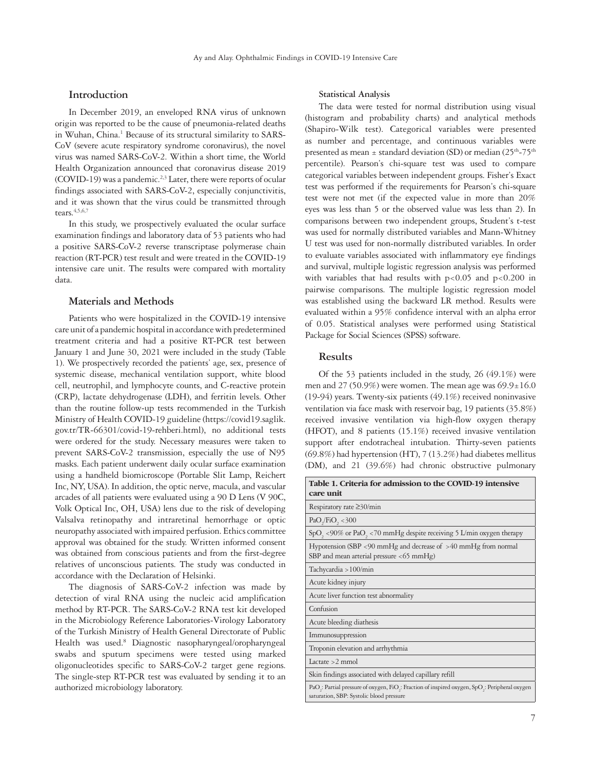# **Introduction**

In December 2019, an enveloped RNA virus of unknown origin was reported to be the cause of pneumonia-related deaths in Wuhan, China.<sup>1</sup> Because of its structural similarity to SARS-CoV (severe acute respiratory syndrome coronavirus), the novel virus was named SARS-CoV-2. Within a short time, the World Health Organization announced that coronavirus disease 2019  $(COVID-19)$  was a pandemic.<sup>2,3</sup> Later, there were reports of ocular findings associated with SARS-CoV-2, especially conjunctivitis, and it was shown that the virus could be transmitted through tears. $4,5,6,7$ 

In this study, we prospectively evaluated the ocular surface examination findings and laboratory data of 53 patients who had a positive SARS-CoV-2 reverse transcriptase polymerase chain reaction (RT-PCR) test result and were treated in the COVID-19 intensive care unit. The results were compared with mortality data.

## **Materials and Methods**

Patients who were hospitalized in the COVID-19 intensive care unit of a pandemic hospital in accordance with predetermined treatment criteria and had a positive RT-PCR test between January 1 and June 30, 2021 were included in the study (Table 1). We prospectively recorded the patients' age, sex, presence of systemic disease, mechanical ventilation support, white blood cell, neutrophil, and lymphocyte counts, and C-reactive protein (CRP), lactate dehydrogenase (LDH), and ferritin levels. Other than the routine follow-up tests recommended in the Turkish Ministry of Health COVID-19 guideline (https://covid19.saglik. gov.tr/TR-66301/covid-19-rehberi.html), no additional tests were ordered for the study. Necessary measures were taken to prevent SARS-CoV-2 transmission, especially the use of N95 masks. Each patient underwent daily ocular surface examination using a handheld biomicroscope (Portable Slit Lamp, Reichert Inc, NY, USA). In addition, the optic nerve, macula, and vascular arcades of all patients were evaluated using a 90 D Lens (V 90C, Volk Optical Inc, OH, USA) lens due to the risk of developing Valsalva retinopathy and intraretinal hemorrhage or optic neuropathy associated with impaired perfusion. Ethics committee approval was obtained for the study. Written informed consent was obtained from conscious patients and from the first-degree relatives of unconscious patients. The study was conducted in accordance with the Declaration of Helsinki.

The diagnosis of SARS-CoV-2 infection was made by detection of viral RNA using the nucleic acid amplification method by RT-PCR. The SARS-CoV-2 RNA test kit developed in the Microbiology Reference Laboratories-Virology Laboratory of the Turkish Ministry of Health General Directorate of Public Health was used.<sup>8</sup> Diagnostic nasopharyngeal/oropharyngeal swabs and sputum specimens were tested using marked oligonucleotides specific to SARS-CoV-2 target gene regions. The single-step RT-PCR test was evaluated by sending it to an authorized microbiology laboratory.

#### **Statistical Analysis**

The data were tested for normal distribution using visual (histogram and probability charts) and analytical methods (Shapiro-Wilk test). Categorical variables were presented as number and percentage, and continuous variables were presented as mean  $\pm$  standard deviation (SD) or median (25<sup>th</sup>-75<sup>th</sup> percentile). Pearson's chi-square test was used to compare categorical variables between independent groups. Fisher's Exact test was performed if the requirements for Pearson's chi-square test were not met (if the expected value in more than 20% eyes was less than 5 or the observed value was less than 2). In comparisons between two independent groups, Student's t-test was used for normally distributed variables and Mann-Whitney U test was used for non-normally distributed variables. In order to evaluate variables associated with inflammatory eye findings and survival, multiple logistic regression analysis was performed with variables that had results with  $p<0.05$  and  $p<0.200$  in pairwise comparisons. The multiple logistic regression model was established using the backward LR method. Results were evaluated within a 95% confidence interval with an alpha error of 0.05. Statistical analyses were performed using Statistical Package for Social Sciences (SPSS) software.

## **Results**

Of the 53 patients included in the study, 26 (49.1%) were men and 27 (50.9%) were women. The mean age was  $69.9 \pm 16.0$ (19-94) years. Twenty-six patients (49.1%) received noninvasive ventilation via face mask with reservoir bag, 19 patients (35.8%) received invasive ventilation via high-flow oxygen therapy (HFOT), and 8 patients (15.1%) received invasive ventilation support after endotracheal intubation. Thirty-seven patients (69.8%) had hypertension (HT), 7 (13.2%) had diabetes mellitus (DM), and 21 (39.6%) had chronic obstructive pulmonary

| Table 1. Criteria for admission to the COVID-19 intensive<br>care unit                                                                                                          |
|---------------------------------------------------------------------------------------------------------------------------------------------------------------------------------|
| Respiratory rate $\geq$ 30/min                                                                                                                                                  |
| PaO <sub>2</sub> /FiO <sub>2</sub> < 300                                                                                                                                        |
| $SpO, < 90\%$ or PaO, <70 mmHg despite receiving 5 L/min oxygen therapy                                                                                                         |
| Hypotension (SBP <90 mmHg and decrease of $>40$ mmHg from normal<br>SBP and mean arterial pressure $<$ 65 mmHg)                                                                 |
| Tachycardia > 100/min                                                                                                                                                           |
| Acute kidney injury                                                                                                                                                             |
| Acute liver function test abnormality                                                                                                                                           |
| Confusion                                                                                                                                                                       |
| Acute bleeding diathesis                                                                                                                                                        |
| Immunosuppression                                                                                                                                                               |
| Troponin elevation and arrhythmia                                                                                                                                               |
| Lactate $>2$ mmol                                                                                                                                                               |
| Skin findings associated with delayed capillary refill                                                                                                                          |
| PaO <sub>2</sub> : Partial pressure of oxygen, FiO <sub>2</sub> : Fraction of inspired oxygen, SpO <sub>2</sub> : Peripheral oxygen<br>saturation, SBP: Systolic blood pressure |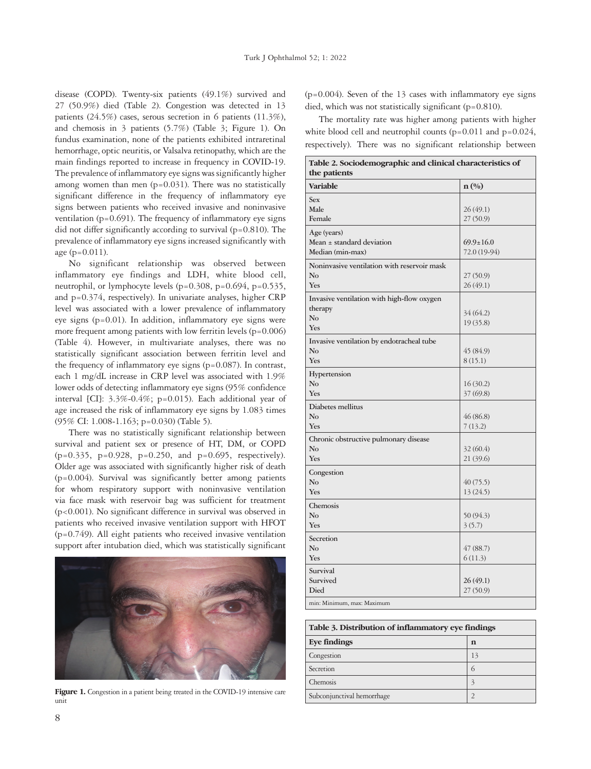disease (COPD). Twenty-six patients (49.1%) survived and 27 (50.9%) died (Table 2). Congestion was detected in 13 patients (24.5%) cases, serous secretion in 6 patients (11.3%), and chemosis in 3 patients (5.7%) (Table 3; Figure 1). On fundus examination, none of the patients exhibited intraretinal hemorrhage, optic neuritis, or Valsalva retinopathy, which are the main findings reported to increase in frequency in COVID-19. The prevalence of inflammatory eye signs was significantly higher among women than men  $(p=0.031)$ . There was no statistically significant difference in the frequency of inflammatory eye signs between patients who received invasive and noninvasive ventilation ( $p=0.691$ ). The frequency of inflammatory eye signs did not differ significantly according to survival (p=0.810). The prevalence of inflammatory eye signs increased significantly with age (p=0.011).

No significant relationship was observed between inflammatory eye findings and LDH, white blood cell, neutrophil, or lymphocyte levels (p=0.308, p=0.694, p=0.535, and p=0.374, respectively). In univariate analyses, higher CRP level was associated with a lower prevalence of inflammatory eye signs (p=0.01). In addition, inflammatory eye signs were more frequent among patients with low ferritin levels  $(p=0.006)$ (Table 4). However, in multivariate analyses, there was no statistically significant association between ferritin level and the frequency of inflammatory eye signs (p=0.087). In contrast, each 1 mg/dL increase in CRP level was associated with 1.9% lower odds of detecting inflammatory eye signs (95% confidence interval [CI]: 3.3%-0.4%; p=0.015). Each additional year of age increased the risk of inflammatory eye signs by 1.083 times (95% CI: 1.008-1.163; p=0.030) (Table 5).

There was no statistically significant relationship between survival and patient sex or presence of HT, DM, or COPD (p=0.335, p=0.928, p=0.250, and p=0.695, respectively). Older age was associated with significantly higher risk of death (p=0.004). Survival was significantly better among patients for whom respiratory support with noninvasive ventilation via face mask with reservoir bag was sufficient for treatment (p<0.001). No significant difference in survival was observed in patients who received invasive ventilation support with HFOT (p=0.749). All eight patients who received invasive ventilation support after intubation died, which was statistically significant



Figure 1. Congestion in a patient being treated in the COVID-19 intensive care unit

 $(p=0.004)$ . Seven of the 13 cases with inflammatory eye signs died, which was not statistically significant (p=0.810).

The mortality rate was higher among patients with higher white blood cell and neutrophil counts  $(p=0.011$  and  $p=0.024$ , respectively). There was no significant relationship between

| Table 2. Sociodemographic and clinical characteristics of<br>the patients |                                 |  |  |  |  |
|---------------------------------------------------------------------------|---------------------------------|--|--|--|--|
| <b>Variable</b>                                                           | $\mathbf{n}(\%)$                |  |  |  |  |
| <b>Sex</b><br>Male<br>Female                                              | 26(49.1)<br>27(50.9)            |  |  |  |  |
| Age (years)<br>Mean ± standard deviation<br>Median (min-max)              | $69.9 \pm 16.0$<br>72.0 (19-94) |  |  |  |  |
| Noninvasive ventilation with reservoir mask<br>No<br>Yes                  | 27(50.9)<br>26(49.1)            |  |  |  |  |
| Invasive ventilation with high-flow oxygen<br>therapy<br>No<br>Yes        | 34 (64.2)<br>19(35.8)           |  |  |  |  |
| Invasive ventilation by endotracheal tube<br>No<br>Yes                    | 45 (84.9)<br>8(15.1)            |  |  |  |  |
| Hypertension<br>No<br>Yes                                                 | 16 (30.2)<br>37 (69.8)          |  |  |  |  |
| Diabetes mellitus<br>No<br>Yes                                            | 46 (86.8)<br>7(13.2)            |  |  |  |  |
| Chronic obstructive pulmonary disease<br>No<br>Yes                        | 32(60.4)<br>21(39.6)            |  |  |  |  |
| Congestion<br>No<br>Yes                                                   | 40(75.5)<br>13(24.5)            |  |  |  |  |
| Chemosis<br>No<br>Yes                                                     | 50 (94.3)<br>3(5.7)             |  |  |  |  |
| Secretion<br>$\rm No$<br>Yes                                              | 47(88.7)<br>6(11.3)             |  |  |  |  |
| Survival<br>Survived<br>Died                                              | 26(49.1)<br>27(50.9)            |  |  |  |  |
| min: Minimum, max: Maximum                                                |                                 |  |  |  |  |

| Table 3. Distribution of inflammatory eye findings |                          |  |  |  |
|----------------------------------------------------|--------------------------|--|--|--|
| <b>Eye findings</b>                                | n                        |  |  |  |
| Congestion                                         | 13                       |  |  |  |
| Secretion                                          | 6                        |  |  |  |
| Chemosis                                           | $\overline{\mathcal{E}}$ |  |  |  |
| Subconjunctival hemorrhage                         |                          |  |  |  |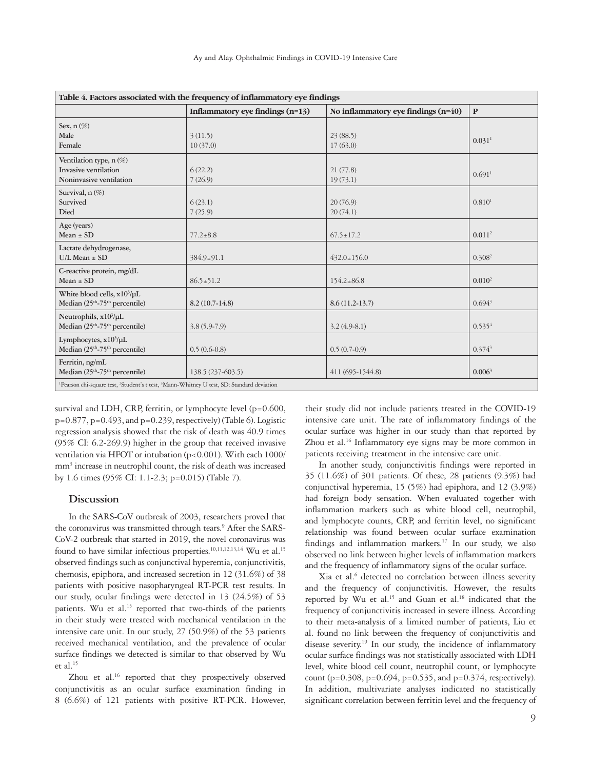| Table 4. Factors associated with the frequency of inflammatory eye findings                 |                                                                                                                               |                                       |                      |  |  |  |  |
|---------------------------------------------------------------------------------------------|-------------------------------------------------------------------------------------------------------------------------------|---------------------------------------|----------------------|--|--|--|--|
|                                                                                             | Inflammatory eye findings (n=13)                                                                                              | No inflammatory eye findings $(n=40)$ | $\mathbf{P}$         |  |  |  |  |
| Sex, $n(\%)$<br>Male                                                                        | 3(11.5)                                                                                                                       | 23(88.5)                              |                      |  |  |  |  |
| Female                                                                                      | 10(37.0)                                                                                                                      | 17(63.0)                              | $0.031$ <sup>1</sup> |  |  |  |  |
| Ventilation type, n (%)<br>Invasive ventilation<br>Noninvasive ventilation                  | 6(22.2)<br>7(26.9)                                                                                                            | 21(77.8)<br>19(73.1)                  | $0.691$ <sup>1</sup> |  |  |  |  |
| Survival, n (%)<br>Survived<br>Died                                                         | 6(23.1)<br>7(25.9)                                                                                                            | 20(76.9)<br>20(74.1)                  | 0.810 <sup>1</sup>   |  |  |  |  |
| Age (years)<br>Mean $\pm$ SD                                                                | $77.2 \pm 8.8$                                                                                                                | $67.5 \pm 17.2$                       | 0.011 <sup>2</sup>   |  |  |  |  |
| Lactate dehydrogenase,<br>$U/L$ Mean $\pm$ SD                                               | $384.9 \pm 91.1$                                                                                                              | $432.0 \pm 156.0$                     | 0.308 <sup>2</sup>   |  |  |  |  |
| C-reactive protein, mg/dL<br>Mean $\pm$ SD                                                  | $86.5 \pm 51.2$                                                                                                               | $154.2 \pm 86.8$                      | 0.010 <sup>2</sup>   |  |  |  |  |
| White blood cells, $x10^3/\mu L$<br>Median (25 <sup>th</sup> -75 <sup>th</sup> percentile)  | $8.2(10.7-14.8)$                                                                                                              | $8.6(11.2-13.7)$                      | 0.694 <sup>3</sup>   |  |  |  |  |
| Neutrophils, $x10^3/\mu L$<br>Median (25 <sup>th</sup> -75 <sup>th</sup> percentile)        | $3.8(5.9-7.9)$                                                                                                                | $3.2(4.9-8.1)$                        | 0.535 <sup>4</sup>   |  |  |  |  |
| Lymphocytes, x10 <sup>3</sup> /µL<br>Median (25 <sup>th</sup> -75 <sup>th</sup> percentile) | $0.5(0.6-0.8)$                                                                                                                | $0.5(0.7-0.9)$                        | $0.374^{3}$          |  |  |  |  |
| Ferritin, ng/mL<br>Median (25 <sup>th</sup> -75 <sup>th</sup> percentile)                   | 138.5 (237-603.5)                                                                                                             | 411 (695-1544.8)                      | 0.006 <sup>3</sup>   |  |  |  |  |
|                                                                                             | <sup>1</sup> Pearson chi-square test, <sup>2</sup> Student's t test, <sup>3</sup> Mann-Whitney U test, SD: Standard deviation |                                       |                      |  |  |  |  |

survival and LDH, CRP, ferritin, or lymphocyte level (p=0.600,  $p=0.877$ ,  $p=0.493$ , and  $p=0.239$ , respectively) (Table 6). Logistic regression analysis showed that the risk of death was 40.9 times (95% CI: 6.2-269.9) higher in the group that received invasive ventilation via HFOT or intubation (p<0.001). With each 1000/ mm<sup>3</sup> increase in neutrophil count, the risk of death was increased by 1.6 times (95% CI: 1.1-2.3; p=0.015) (Table 7).

## **Discussion**

In the SARS-CoV outbreak of 2003, researchers proved that the coronavirus was transmitted through tears.<sup>9</sup> After the SARS-CoV-2 outbreak that started in 2019, the novel coronavirus was found to have similar infectious properties.<sup>10,11,12,13,14</sup> Wu et al.<sup>15</sup> observed findings such as conjunctival hyperemia, conjunctivitis, chemosis, epiphora, and increased secretion in 12 (31.6%) of 38 patients with positive nasopharyngeal RT-PCR test results. In our study, ocular findings were detected in 13 (24.5%) of 53 patients. Wu et al.<sup>15</sup> reported that two-thirds of the patients in their study were treated with mechanical ventilation in the intensive care unit. In our study, 27 (50.9%) of the 53 patients received mechanical ventilation, and the prevalence of ocular surface findings we detected is similar to that observed by Wu et al. $15$ 

Zhou et al.<sup>16</sup> reported that they prospectively observed conjunctivitis as an ocular surface examination finding in 8 (6.6%) of 121 patients with positive RT-PCR. However,

their study did not include patients treated in the COVID-19 intensive care unit. The rate of inflammatory findings of the ocular surface was higher in our study than that reported by Zhou et al.<sup>16</sup> Inflammatory eye signs may be more common in patients receiving treatment in the intensive care unit.

In another study, conjunctivitis findings were reported in 35 (11.6%) of 301 patients. Of these, 28 patients (9.3%) had conjunctival hyperemia, 15 (5%) had epiphora, and 12 (3.9%) had foreign body sensation. When evaluated together with inflammation markers such as white blood cell, neutrophil, and lymphocyte counts, CRP, and ferritin level, no significant relationship was found between ocular surface examination findings and inflammation markers.<sup>17</sup> In our study, we also observed no link between higher levels of inflammation markers and the frequency of inflammatory signs of the ocular surface.

Xia et al.<sup>6</sup> detected no correlation between illness severity and the frequency of conjunctivitis. However, the results reported by Wu et al.<sup>15</sup> and Guan et al.<sup>18</sup> indicated that the frequency of conjunctivitis increased in severe illness. According to their meta-analysis of a limited number of patients, Liu et al. found no link between the frequency of conjunctivitis and disease severity.<sup>19</sup> In our study, the incidence of inflammatory ocular surface findings was not statistically associated with LDH level, white blood cell count, neutrophil count, or lymphocyte count (p=0.308, p=0.694, p=0.535, and p=0.374, respectively). In addition, multivariate analyses indicated no statistically significant correlation between ferritin level and the frequency of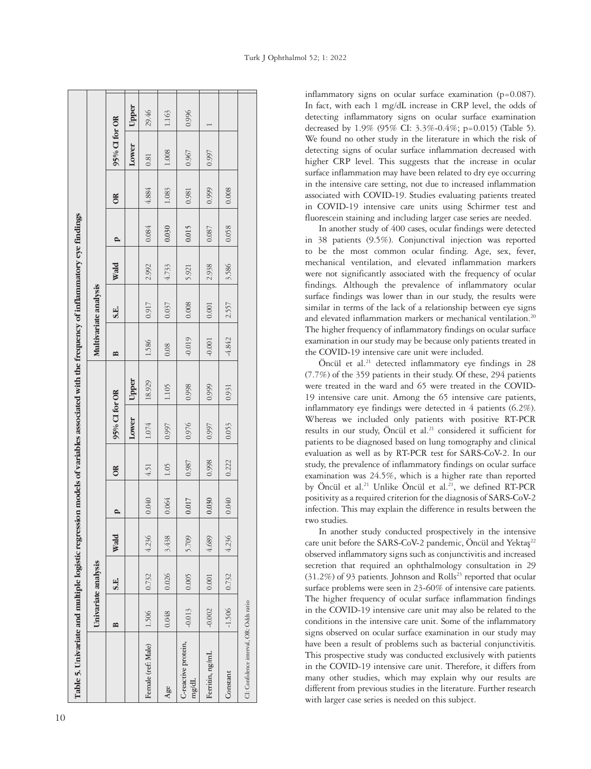| Table 5. Univariate and multiple logistic regression models of variables associated with the frequency of inflammatory eye findings |          |                     |       |       |       |               |        |                                   |                       |       |       |       |               |       |  |
|-------------------------------------------------------------------------------------------------------------------------------------|----------|---------------------|-------|-------|-------|---------------|--------|-----------------------------------|-----------------------|-------|-------|-------|---------------|-------|--|
|                                                                                                                                     |          | Univariate analysis |       |       |       |               |        |                                   | Multivariate analysis |       |       |       |               |       |  |
|                                                                                                                                     | ≏        | S.E.                | Wald  |       | ă     | 95% CI for OR |        | $\mathbf{\underline{\mathsf{m}}}$ | S.E.                  | Wald  | p     | õ     | 95% CI for OR |       |  |
|                                                                                                                                     |          |                     |       |       |       | Lower         | Upper  |                                   |                       |       |       |       | Lower         | Upper |  |
| Female (ref: Male)                                                                                                                  | 1.506    | 0.732               | 4.236 | 0.040 | 4.51  | 1.074         | 18.929 | 1.586                             | 0.917                 | 2.992 | 0.084 | 4.884 | 0.81          | 29.46 |  |
| Age                                                                                                                                 | 0.048    | 0.026               | 3.438 | 0.064 | 1.05  | 0.997         | 1.105  | 0.08                              | 0.037                 | 4.733 | 0.030 | 1.083 | 1.008         | 1.163 |  |
| C-reactive protein,<br>mg/dL                                                                                                        | $-0.013$ | 0.005               | 5.709 | 0.017 | 0.987 | 0.976         | 0.998  | $-0.019$                          | 0.008                 | 5.921 | 0.015 | 0.981 | 0.967         | 0.996 |  |
| Ferritin, ng/mL                                                                                                                     | $-0.002$ | $0.001\,$           | 4.689 | 0.030 | 0.998 | 0.997         | 0.999  | $-0.001$                          | $0.001\,$             | 2.938 | 0.087 | 0.999 | 0.997         |       |  |
| Constant                                                                                                                            | $-1.506$ | 0.732               | 4.236 | 0.040 | 0.222 | 0.053         | 0.931  | -4.842                            | 2.557                 | 3.586 | 0.058 | 0.008 |               |       |  |
| CI: Confidence interval, OR: Odds ratio                                                                                             |          |                     |       |       |       |               |        |                                   |                       |       |       |       |               |       |  |

inflammatory signs on ocular surface examination (p=0.087). In fact, with each 1 mg/dL increase in CRP level, the odds of detecting inflammatory signs on ocular surface examination decreased by 1.9% (95% CI: 3.3%-0.4%; p=0.015) (Table 5).

We found no other study in the literature in which the risk of detecting signs of ocular surface inflammation decreased with higher CRP level. This suggests that the increase in ocular surface inflammation may have been related to dry eye occurring in the intensive care setting, not due to increased inflammation associated with COVID-19. Studies evaluating patients treated in COVID-19 intensive care units using Schirmer test and fluorescein staining and including larger case series are needed.

In another study of 400 cases, ocular findings were detected in 38 patients (9.5%). Conjunctival injection was reported to be the most common ocular finding. Age, sex, fever, mechanical ventilation, and elevated inflammation markers were not significantly associated with the frequency of ocular findings. Although the prevalence of inflammatory ocular surface findings was lower than in our study, the results were similar in terms of the lack of a relationship between eye signs and elevated inflammation markers or mechanical ventilation.<sup>20</sup> The higher frequency of inflammatory findings on ocular surface examination in our study may be because only patients treated in the COVID-19 intensive care unit were included.

Öncül et al.<sup>21</sup> detected inflammatory eye findings in 28 (7.7%) of the 359 patients in their study. Of these, 294 patients were treated in the ward and 65 were treated in the COVID-19 intensive care unit. Among the 65 intensive care patients, inflammatory eye findings were detected in 4 patients (6.2%). Whereas we included only patients with positive RT-PCR results in our study, Öncül et al.<sup>21</sup> considered it sufficient for patients to be diagnosed based on lung tomography and clinical evaluation as well as by RT-PCR test for SARS-CoV-2. In our study, the prevalence of inflammatory findings on ocular surface examination was 24.5%, which is a higher rate than reported by Öncül et al.<sup>21</sup> Unlike Öncül et al.<sup>21</sup>, we defined RT-PCR positivity as a required criterion for the diagnosis of SARS-CoV-2 infection. This may explain the difference in results between the two studies.

In another study conducted prospectively in the intensive care unit before the SARS-CoV-2 pandemic, Öncül and Yektaş<sup>22</sup> observed inflammatory signs such as conjunctivitis and increased secretion that required an ophthalmology consultation in 29  $(31.2%)$  of 93 patients. Johnson and Rolls<sup>23</sup> reported that ocular surface problems were seen in 23-60% of intensive care patients. The higher frequency of ocular surface inflammation findings in the COVID-19 intensive care unit may also be related to the conditions in the intensive care unit. Some of the inflammatory signs observed on ocular surface examination in our study may have been a result of problems such as bacterial conjunctivitis. This prospective study was conducted exclusively with patients in the COVID-19 intensive care unit. Therefore, it differs from many other studies, which may explain why our results are different from previous studies in the literature. Further research with larger case series is needed on this subject.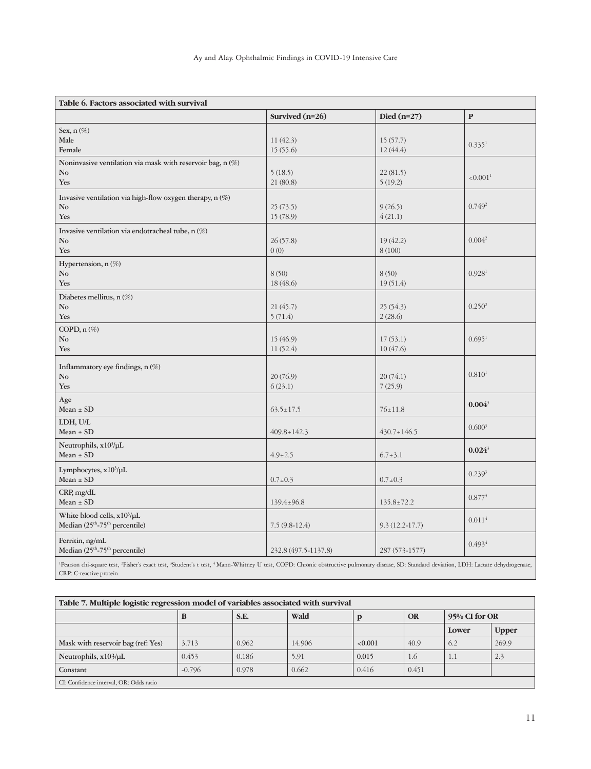| Table 6. Factors associated with survival                                                         |                       |                      |                      |
|---------------------------------------------------------------------------------------------------|-----------------------|----------------------|----------------------|
|                                                                                                   | Survived $(n=26)$     | Died $(n=27)$        | $\mathbf{P}$         |
| Sex, $n(\%)$<br>Male<br>Female                                                                    | 11(42.3)<br>15(55.6)  | 15(57.7)<br>12(44.4) | 0.335 <sup>1</sup>   |
| Noninvasive ventilation via mask with reservoir bag, n (%)<br>$\mathbf{N}\mathbf{o}$<br>Yes       | 5(18.5)<br>21 (80.8)  | 22(81.5)<br>5(19.2)  | < 0.001 <sup>1</sup> |
| Invasive ventilation via high-flow oxygen therapy, n (%)<br>No<br>Yes                             | 25(73.5)<br>15 (78.9) | 9(26.5)<br>4(21.1)   | 0.749 <sup>2</sup>   |
| Invasive ventilation via endotracheal tube, n (%)<br>No<br>Yes                                    | 26(57.8)<br>0(0)      | 19(42.2)<br>8(100)   | 0.004 <sup>2</sup>   |
| Hypertension, n (%)<br>No<br>Yes                                                                  | 8(50)<br>18(48.6)     | 8(50)<br>19(51.4)    | 0.928 <sup>1</sup>   |
| Diabetes mellitus, n (%)<br>No<br>Yes                                                             | 21(45.7)<br>5(71.4)   | 25(54.3)<br>2(28.6)  | 0.250 <sup>2</sup>   |
| COPD, n (%)<br>No<br>Yes                                                                          | 15(46.9)<br>11(52.4)  | 17(53.1)<br>10(47.6) | 0.695 <sup>1</sup>   |
| Inflammatory eye findings, n (%)<br>No<br>Yes                                                     | 20(76.9)<br>6(23.1)   | 20(74.1)<br>7(25.9)  | 0.810 <sup>1</sup>   |
| Age<br>$Mean \pm SD$                                                                              | $63.5 \pm 17.5$       | $76 \pm 11.8$        | $0.004^{3}$          |
| LDH, U/L<br>$Mean \pm SD$                                                                         | $409.8 \pm 142.3$     | $430.7 \pm 146.5$    | 0.600 <sup>3</sup>   |
| Neutrophils, x10 <sup>3</sup> /µL<br>$Mean \pm SD$                                                | $4.9 \pm 2.5$         | $6.7 \pm 3.1$        | $0.024^3$            |
| Lymphocytes, x10 <sup>3</sup> /µL<br>$Mean \pm SD$                                                | $0.7 \pm 0.3$         | $0.7 \pm 0.3$        | 0.239 <sup>3</sup>   |
| CRP, mg/dL<br>Mean $\pm$ SD                                                                       | $139.4 \pm 96.8$      | $135.8 \pm 72.2$     | 0.877 <sup>3</sup>   |
| White blood cells, x10 <sup>3</sup> /µL<br>Median (25 <sup>th</sup> -75 <sup>th</sup> percentile) | $7.5(9.8-12.4)$       | $9.3(12.2 - 17.7)$   | $0.011^{4}$          |
| Ferritin, ng/mL<br>Median (25 <sup>th</sup> -75 <sup>th</sup> percentile)                         | 232.8 (497.5-1137.8)  | 287 (573-1577)       | 0.4934               |
|                                                                                                   |                       |                      |                      |

<sup>1</sup>Pearson chi-square test, <sup>2</sup>Fisher's exact test, <sup>3</sup>Student's t test, <sup>4</sup>Mann-Whitney U test, COPD: Chronic obstructive pulmonary disease, SD: Standard deviation, LDH: Lactate dehydrogenase, CRP: C-reactive protein

|                                         | Table 7. Multiple logistic regression model of variables associated with survival |                                            |        |         |       |       |              |  |  |
|-----------------------------------------|-----------------------------------------------------------------------------------|--------------------------------------------|--------|---------|-------|-------|--------------|--|--|
|                                         | D                                                                                 | Wald<br>S.E.<br>95% CI for OR<br><b>OR</b> |        |         |       |       |              |  |  |
|                                         |                                                                                   |                                            |        |         |       | Lower | <b>Upper</b> |  |  |
| Mask with reservoir bag (ref: Yes)      | 3.713                                                                             | 0.962                                      | 14.906 | < 0.001 | 40.9  | 6.2   | 269.9        |  |  |
| Neutrophils, $x103/\mu L$               | 0.453                                                                             | 0.186                                      | 5.91   | 0.015   | 1.6   | 1.1   | 2.3          |  |  |
| Constant                                | $-0.796$                                                                          | 0.978                                      | 0.662  | 0.416   | 0.451 |       |              |  |  |
| CI: Confidence interval, OR: Odds ratio |                                                                                   |                                            |        |         |       |       |              |  |  |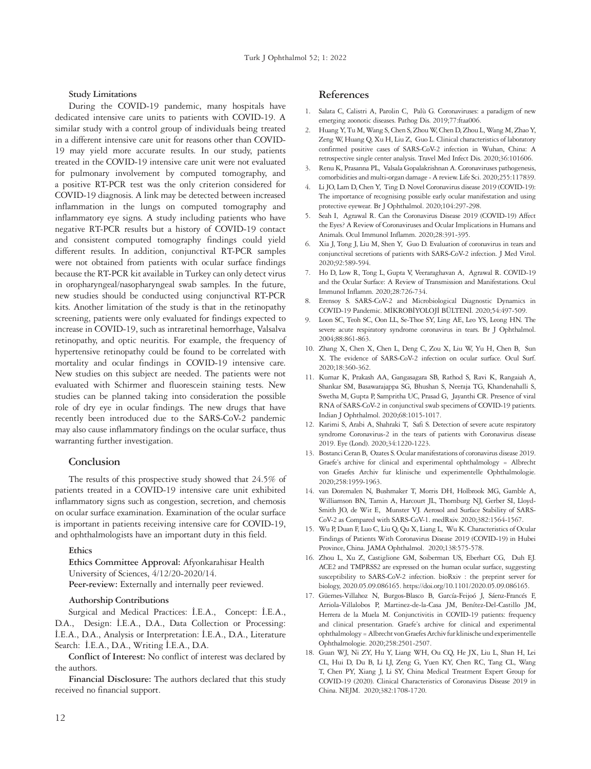**Study Limitations**

During the COVID-19 pandemic, many hospitals have dedicated intensive care units to patients with COVID-19. A similar study with a control group of individuals being treated in a different intensive care unit for reasons other than COVID-19 may yield more accurate results. In our study, patients treated in the COVID-19 intensive care unit were not evaluated for pulmonary involvement by computed tomography, and a positive RT-PCR test was the only criterion considered for COVID-19 diagnosis. A link may be detected between increased inflammation in the lungs on computed tomography and inflammatory eye signs. A study including patients who have negative RT-PCR results but a history of COVID-19 contact and consistent computed tomography findings could yield different results. In addition, conjunctival RT-PCR samples were not obtained from patients with ocular surface findings because the RT-PCR kit available in Turkey can only detect virus in oropharyngeal/nasopharyngeal swab samples. In the future, new studies should be conducted using conjunctival RT-PCR kits. Another limitation of the study is that in the retinopathy screening, patients were only evaluated for findings expected to increase in COVID-19, such as intraretinal hemorrhage, Valsalva retinopathy, and optic neuritis. For example, the frequency of hypertensive retinopathy could be found to be correlated with mortality and ocular findings in COVID-19 intensive care. New studies on this subject are needed. The patients were not evaluated with Schirmer and fluorescein staining tests. New studies can be planned taking into consideration the possible role of dry eye in ocular findings. The new drugs that have recently been introduced due to the SARS-CoV-2 pandemic may also cause inflammatory findings on the ocular surface, thus warranting further investigation.

# **Conclusion**

The results of this prospective study showed that 24.5% of patients treated in a COVID-19 intensive care unit exhibited inflammatory signs such as congestion, secretion, and chemosis on ocular surface examination. Examination of the ocular surface is important in patients receiving intensive care for COVID-19, and ophthalmologists have an important duty in this field.

### **Ethics**

**Ethics Committee Approval:** Afyonkarahisar Health University of Sciences, 4/12/20-2020/14. Peer-review: Externally and internally peer reviewed.

#### **Authorship Contributions**

Surgical and Medical Practices: İ.E.A., Concept: İ.E.A., D.A., Design: İ.E.A., D.A., Data Collection or Processing: İ.E.A., D.A., Analysis or Interpretation: İ.E.A., D.A., Literature Search: İ.E.A., D.A., Writing İ.E.A., D.A.

**Conflict of Interest:** No conflict of interest was declared by the authors.

**Financial Disclosure:** The authors declared that this study received no financial support.

# **References**

- 1. Salata C, Calistri A, Parolin C, Palù G. Coronaviruses: a paradigm of new emerging zoonotic diseases. Pathog Dis. 2019;77:ftaa006.
- 2. Huang Y, Tu M, Wang S, Chen S, Zhou W, Chen D, Zhou L, Wang M, Zhao Y, Zeng W, Huang Q, Xu H, Liu Z, Guo L. Clinical characteristics of laboratory confirmed positive cases of SARS-CoV-2 infection in Wuhan, China: A retrospective single center analysis. Travel Med Infect Dis. 2020;36:101606.
- Renu K, Prasanna PL, Valsala Gopalakrishnan A. Coronaviruses pathogenesis, comorbidities and multi-organ damage - A review. Life Sci. 2020;255:117839.
- 4. Li JO, Lam D, Chen Y, Ting D. Novel Coronavirus disease 2019 (COVID-19): The importance of recognising possible early ocular manifestation and using protective eyewear. Br J Ophthalmol. 2020;104:297-298.
- 5. Seah I, Agrawal R. Can the Coronavirus Disease 2019 (COVID-19) Affect the Eyes? A Review of Coronaviruses and Ocular Implications in Humans and Animals. Ocul Immunol Inflamm. 2020;28:391-395.
- 6. Xia J, Tong J, Liu M, Shen Y, Guo D. Evaluation of coronavirus in tears and conjunctival secretions of patients with SARS-CoV-2 infection. J Med Virol. 2020;92:589-594.
- 7. Ho D, Low R, Tong L, Gupta V, Veeraraghavan A, Agrawal R. COVID-19 and the Ocular Surface: A Review of Transmission and Manifestations. Ocul Immunol Inflamm. 2020;28:726-734.
- Erensoy S. SARS-CoV-2 and Microbiological Diagnostic Dynamics in COVID-19 Pandemic. MİKROBİYOLOJİ BÜLTENİ. 2020;54:497-509.
- 9. Loon SC, Teoh SC, Oon LL, Se-Thoe SY, Ling AE, Leo YS, Leong HN. The severe acute respiratory syndrome coronavirus in tears. Br J Ophthalmol. 2004;88:861-863.
- 10. Zhang X, Chen X, Chen L, Deng C, Zou X, Liu W, Yu H, Chen B, Sun X. The evidence of SARS-CoV-2 infection on ocular surface. Ocul Surf. 2020;18:360-362.
- 11. Kumar K, Prakash AA, Gangasagara SB, Rathod S, Ravi K, Rangaiah A, Shankar SM, Basawarajappa SG, Bhushan S, Neeraja TG, Khandenahalli S, Swetha M, Gupta P, Sampritha UC, Prasad G, Jayanthi CR. Presence of viral RNA of SARS-CoV-2 in conjunctival swab specimens of COVID-19 patients. Indian J Ophthalmol. 2020;68:1015-1017.
- 12. Karimi S, Arabi A, Shahraki T, Safi S. Detection of severe acute respiratory syndrome Coronavirus-2 in the tears of patients with Coronavirus disease 2019. Eye (Lond). 2020;34:1220-1223.
- 13. Bostanci Ceran B, Ozates S. Ocular manifestations of coronavirus disease 2019. Graefe's archive for clinical and experimental ophthalmology = Albrecht von Graefes Archiv fur klinische und experimentelle Ophthalmologie. 2020;258:1959-1963.
- 14. van Doremalen N, Bushmaker T, Morris DH, Holbrook MG, Gamble A, Williamson BN, Tamin A, Harcourt JL, Thornburg NJ, Gerber SI, Lloyd-Smith JO, de Wit E, Munster VJ. Aerosol and Surface Stability of SARS-CoV-2 as Compared with SARS-CoV-1. medRxiv. 2020;382:1564-1567.
- 15. Wu P, Duan F, Luo C, Liu Q, Qu X, Liang L, Wu K. Characteristics of Ocular Findings of Patients With Coronavirus Disease 2019 (COVID-19) in Hubei Province, China. JAMA Ophthalmol. 2020;138:575-578.
- 16. Zhou L, Xu Z, Castiglione GM, Soiberman US, Eberhart CG, Duh EJ. ACE2 and TMPRSS2 are expressed on the human ocular surface, suggesting susceptibility to SARS-CoV-2 infection. bioRxiv : the preprint server for biology, 2020.05.09.086165. https://doi.org/10.1101/2020.05.09.086165.
- 17. Güemes-Villahoz N, Burgos-Blasco B, García-Feijoó J, Sáenz-Francés F, Arriola-Villalobos P, Martinez-de-la-Casa JM, Benítez-Del-Castillo JM, Herrera de la Muela M. Conjunctivitis in COVID-19 patients: frequency and clinical presentation. Graefe's archive for clinical and experimental ophthalmology = Albrecht von Graefes Archiv fur klinische und experimentelle Ophthalmologie. 2020;258:2501-2507.
- 18. Guan WJ, Ni ZY, Hu Y, Liang WH, Ou CQ, He JX, Liu L, Shan H, Lei CL, Hui D, Du B, Li LJ, Zeng G, Yuen KY, Chen RC, Tang CL, Wang T, Chen PY, Xiang J, Li SY, China Medical Treatment Expert Group for COVID-19 (2020). Clinical Characteristics of Coronavirus Disease 2019 in China. NEJM. 2020;382:1708-1720.